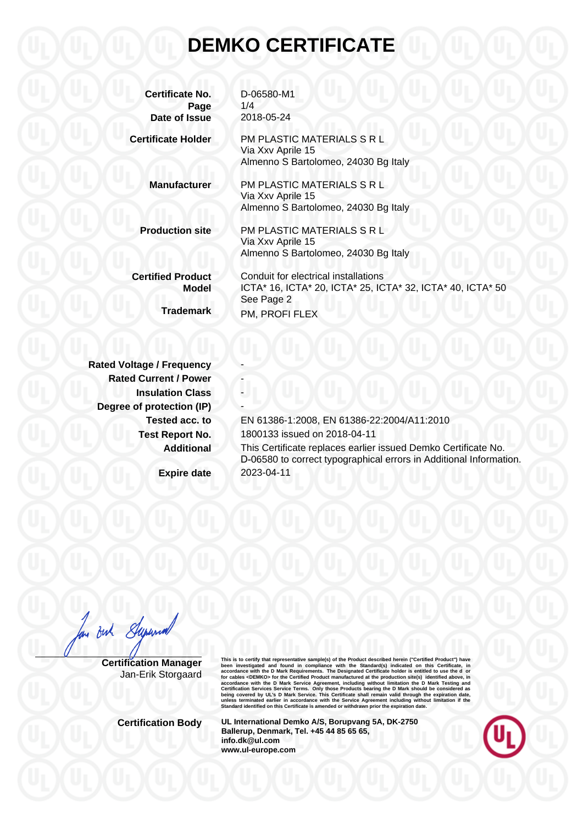## **DEMKO CERTIFICATE**

| <b>Certificate No.</b><br>Page           | D-06580-M1<br>1/4                                                                                                |
|------------------------------------------|------------------------------------------------------------------------------------------------------------------|
| Date of Issue                            | 2018-05-24                                                                                                       |
| <b>Certificate Holder</b>                | PM PLASTIC MATERIALS S R L<br>Via Xxv Aprile 15<br>Almenno S Bartolomeo, 24030 Bg Italy                          |
| <b>Manufacturer</b>                      | PM PLASTIC MATERIALS S R L<br>Via Xxv Aprile 15<br>Almenno S Bartolomeo, 24030 Bg Italy                          |
| <b>Production site</b>                   | PM PLASTIC MATERIALS S R L<br>Via Xxv Aprile 15<br>Almenno S Bartolomeo, 24030 Bg Italy                          |
| <b>Certified Product</b><br><b>Model</b> | Conduit for electrical installations<br>ICTA* 16, ICTA* 20, ICTA* 25, ICTA* 32, ICTA* 40, ICTA* 50<br>See Page 2 |
| <b>Trademark</b>                         | PM, PROFI FLEX                                                                                                   |
|                                          |                                                                                                                  |

**Rated Voltage / Frequency Rated Current / Power Insulation Class Degree of protection (IP)** 

**Tested acc. to** EN 61386-1:2008, EN 61386-22:2004/A11:2010 **Test Report No.** 1800133 issued on 2018-04-11 **Additional** This Certificate replaces earlier issued Demko Certificate No. D-06580 to correct typographical errors in Additional Information.

**Expire date** 2023-04-11

But Supernal

**Certification Manager** Jan-Erik Storgaard This is to certify that representative sample(s) of the Product described herein ("Certifical Product") have<br>been investigated and found in compliance with the Standard(s) indicated on this Certificate, in<br>accordance with

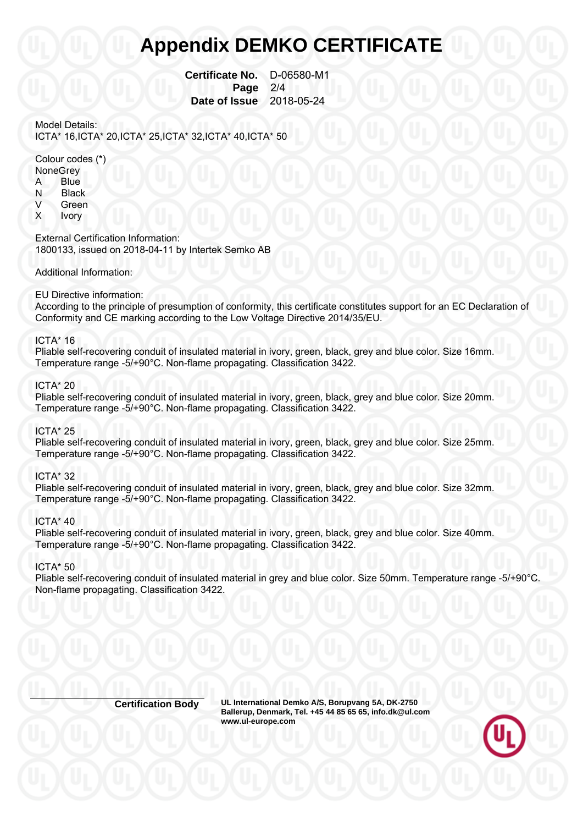## **Appendix DEMKO CERTIFICATE**

 **Certificate No.** D-06580-M1 **Page 2/4 Date of Issue** 2018-05-24

Model Details: ICTA\* 16,ICTA\* 20,ICTA\* 25,ICTA\* 32,ICTA\* 40,ICTA\* 50

Colour codes (\*)

- **None Grev**
- A Blue
- N Black
- V Green
- X Ivory

External Certification Information: 1800133, issued on 2018-04-11 by Intertek Semko AB

Additional Information:

#### EU Directive information:

According to the principle of presumption of conformity, this certificate constitutes support for an EC Declaration of Conformity and CE marking according to the Low Voltage Directive 2014/35/EU.

## ICTA\* 16

Pliable self-recovering conduit of insulated material in ivory, green, black, grey and blue color. Size 16mm. Temperature range -5/+90°C. Non-flame propagating. Classification 3422.

#### ICTA\* 20

Pliable self-recovering conduit of insulated material in ivory, green, black, grey and blue color. Size 20mm. Temperature range -5/+90°C. Non-flame propagating. Classification 3422.

## ICTA\* 25

Pliable self-recovering conduit of insulated material in ivory, green, black, grey and blue color. Size 25mm. Temperature range -5/+90°C. Non-flame propagating. Classification 3422.

## ICTA\* 32

Pliable self-recovering conduit of insulated material in ivory, green, black, grey and blue color. Size 32mm. Temperature range -5/+90°C. Non-flame propagating. Classification 3422.

### ICTA\* 40

Pliable self-recovering conduit of insulated material in ivory, green, black, grey and blue color. Size 40mm. Temperature range -5/+90°C. Non-flame propagating. Classification 3422.

#### ICTA\* 50

Pliable self-recovering conduit of insulated material in grey and blue color. Size 50mm. Temperature range -5/+90°C. Non-flame propagating. Classification 3422.

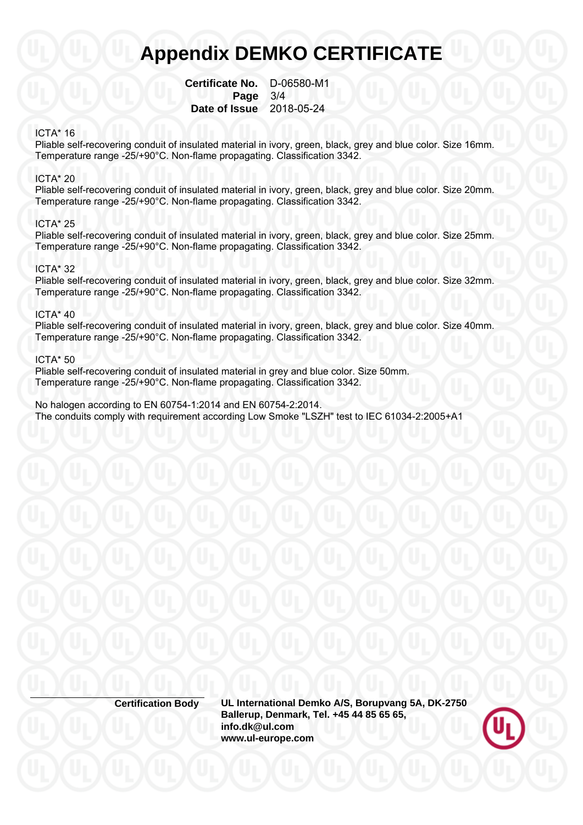## **Appendix DEMKO CERTIFICATE**

 **Certificate No.** D-06580-M1  **Page** 3/4  **Date of Issue** 2018-05-24

## ICTA\* 16

Pliable self-recovering conduit of insulated material in ivory, green, black, grey and blue color. Size 16mm. Temperature range -25/+90°C. Non-flame propagating. Classification 3342.

### ICTA\* 20

Pliable self-recovering conduit of insulated material in ivory, green, black, grey and blue color. Size 20mm. Temperature range -25/+90°C. Non-flame propagating. Classification 3342.

## ICTA\* 25

Pliable self-recovering conduit of insulated material in ivory, green, black, grey and blue color. Size 25mm. Temperature range -25/+90°C. Non-flame propagating. Classification 3342.

## ICTA\* 32

Pliable self-recovering conduit of insulated material in ivory, green, black, grey and blue color. Size 32mm. Temperature range -25/+90°C. Non-flame propagating. Classification 3342.

### ICTA\* 40

Pliable self-recovering conduit of insulated material in ivory, green, black, grey and blue color. Size 40mm. Temperature range -25/+90°C. Non-flame propagating. Classification 3342.

### ICTA\* 50

Pliable self-recovering conduit of insulated material in grey and blue color. Size 50mm. Temperature range -25/+90°C. Non-flame propagating. Classification 3342.

No halogen according to EN 60754-1:2014 and EN 60754-2:2014. The conduits comply with requirement according Low Smoke "LSZH" test to IEC 61034-2:2005+A1